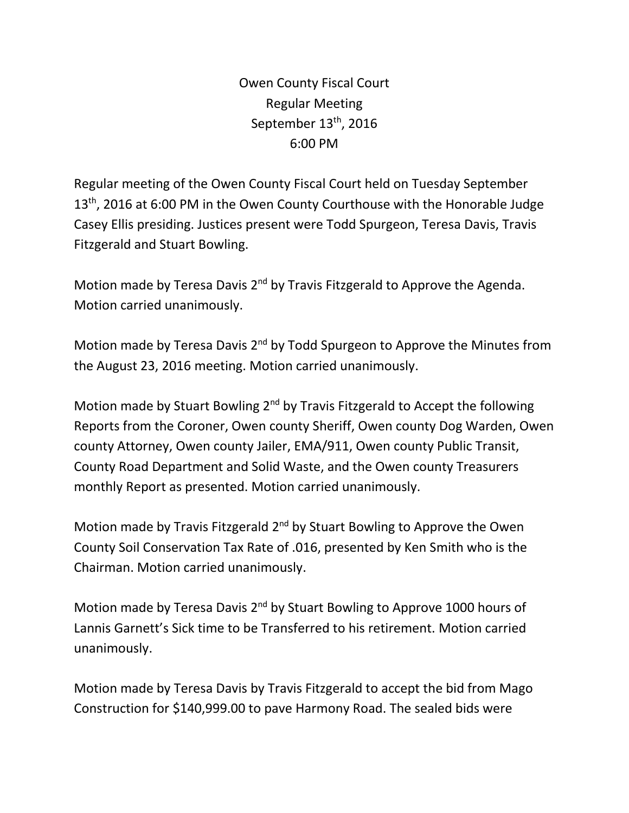Owen County Fiscal Court Regular Meeting September  $13<sup>th</sup>$ , 2016 6:00 PM

Regular meeting of the Owen County Fiscal Court held on Tuesday September 13<sup>th</sup>, 2016 at 6:00 PM in the Owen County Courthouse with the Honorable Judge Casey Ellis presiding. Justices present were Todd Spurgeon, Teresa Davis, Travis Fitzgerald and Stuart Bowling.

Motion made by Teresa Davis  $2<sup>nd</sup>$  by Travis Fitzgerald to Approve the Agenda. Motion carried unanimously.

Motion made by Teresa Davis 2<sup>nd</sup> by Todd Spurgeon to Approve the Minutes from the August 23, 2016 meeting. Motion carried unanimously.

Motion made by Stuart Bowling 2<sup>nd</sup> by Travis Fitzgerald to Accept the following Reports from the Coroner, Owen county Sheriff, Owen county Dog Warden, Owen county Attorney, Owen county Jailer, EMA/911, Owen county Public Transit, County Road Department and Solid Waste, and the Owen county Treasurers monthly Report as presented. Motion carried unanimously.

Motion made by Travis Fitzgerald 2<sup>nd</sup> by Stuart Bowling to Approve the Owen County Soil Conservation Tax Rate of .016, presented by Ken Smith who is the Chairman. Motion carried unanimously.

Motion made by Teresa Davis 2<sup>nd</sup> by Stuart Bowling to Approve 1000 hours of Lannis Garnett's Sick time to be Transferred to his retirement. Motion carried unanimously.

Motion made by Teresa Davis by Travis Fitzgerald to accept the bid from Mago Construction for \$140,999.00 to pave Harmony Road. The sealed bids were